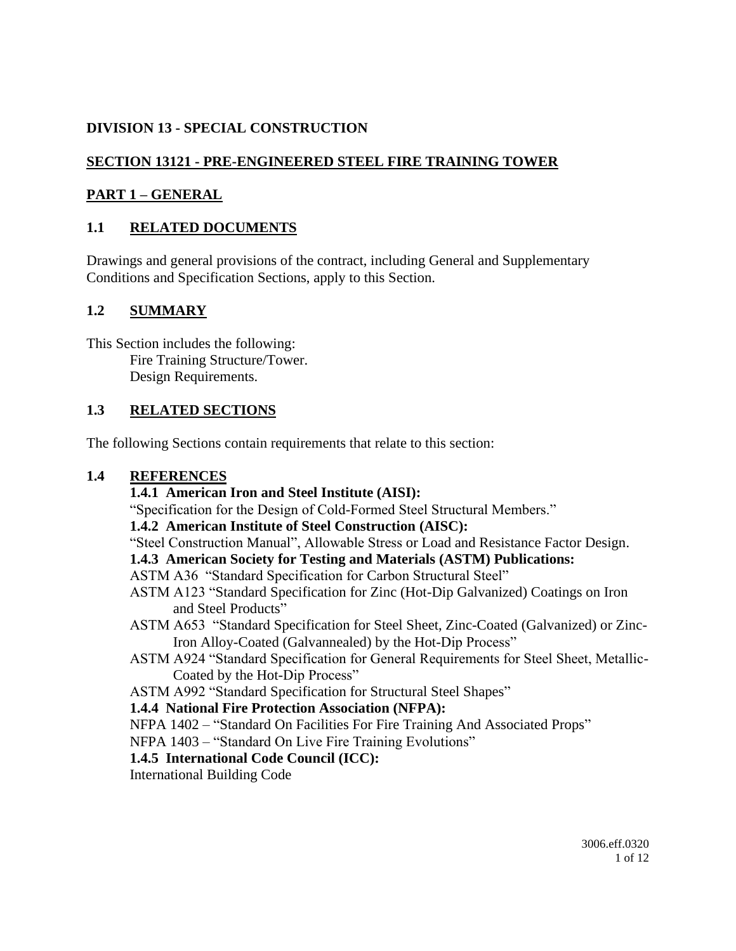## **DIVISION 13 - SPECIAL CONSTRUCTION**

## **SECTION 13121 - PRE-ENGINEERED STEEL FIRE TRAINING TOWER**

### **PART 1 – GENERAL**

### **1.1 RELATED DOCUMENTS**

Drawings and general provisions of the contract, including General and Supplementary Conditions and Specification Sections, apply to this Section.

#### **1.2 SUMMARY**

This Section includes the following: Fire Training Structure/Tower. Design Requirements.

#### **1.3 RELATED SECTIONS**

The following Sections contain requirements that relate to this section:

#### **1.4 REFERENCES**

#### **1.4.1 American Iron and Steel Institute (AISI):**

"Specification for the Design of Cold-Formed Steel Structural Members."

#### **1.4.2 American Institute of Steel Construction (AISC):**

"Steel Construction Manual", Allowable Stress or Load and Resistance Factor Design.

#### **1.4.3 American Society for Testing and Materials (ASTM) Publications:**

#### ASTM A36 "Standard Specification for Carbon Structural Steel"

- ASTM A123 "Standard Specification for Zinc (Hot-Dip Galvanized) Coatings on Iron and Steel Products"
- ASTM A653 "Standard Specification for Steel Sheet, Zinc-Coated (Galvanized) or Zinc-Iron Alloy-Coated (Galvannealed) by the Hot-Dip Process"
- ASTM A924 "Standard Specification for General Requirements for Steel Sheet, Metallic-Coated by the Hot-Dip Process"
- ASTM A992 "Standard Specification for Structural Steel Shapes"

#### **1.4.4 National Fire Protection Association (NFPA):**

NFPA 1402 – "Standard On Facilities For Fire Training And Associated Props"

NFPA 1403 – "Standard On Live Fire Training Evolutions"

#### **1.4.5 International Code Council (ICC):**

International Building Code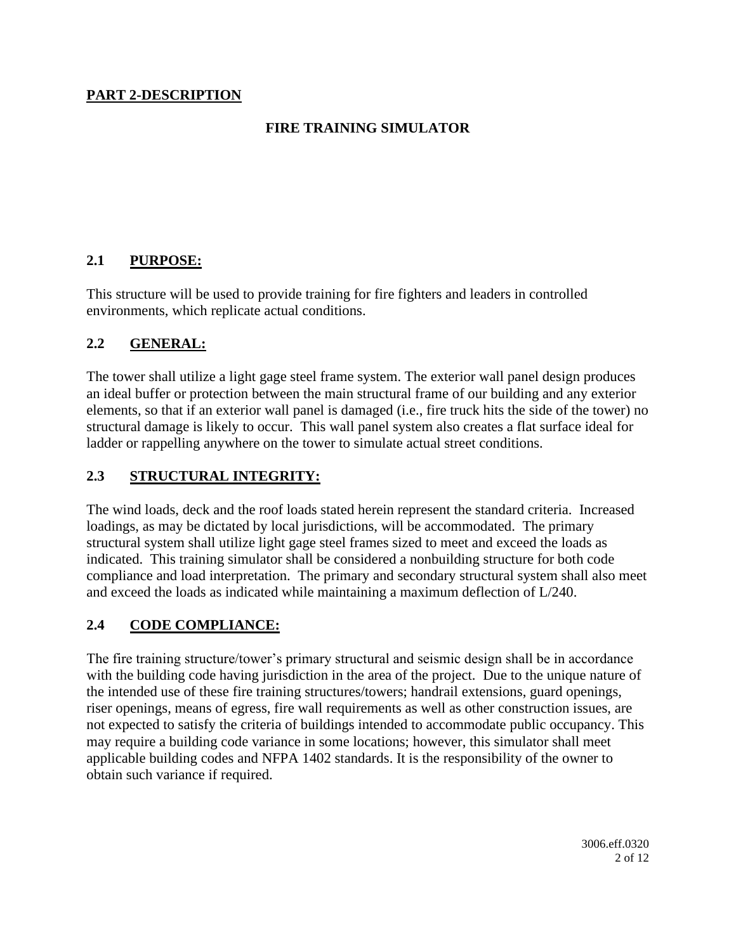#### **PART 2-DESCRIPTION**

### **FIRE TRAINING SIMULATOR**

#### **2.1 PURPOSE:**

This structure will be used to provide training for fire fighters and leaders in controlled environments, which replicate actual conditions.

#### **2.2 GENERAL:**

The tower shall utilize a light gage steel frame system. The exterior wall panel design produces an ideal buffer or protection between the main structural frame of our building and any exterior elements, so that if an exterior wall panel is damaged (i.e., fire truck hits the side of the tower) no structural damage is likely to occur. This wall panel system also creates a flat surface ideal for ladder or rappelling anywhere on the tower to simulate actual street conditions.

#### **2.3 STRUCTURAL INTEGRITY:**

The wind loads, deck and the roof loads stated herein represent the standard criteria. Increased loadings, as may be dictated by local jurisdictions, will be accommodated. The primary structural system shall utilize light gage steel frames sized to meet and exceed the loads as indicated. This training simulator shall be considered a nonbuilding structure for both code compliance and load interpretation. The primary and secondary structural system shall also meet and exceed the loads as indicated while maintaining a maximum deflection of L/240.

#### **2.4 CODE COMPLIANCE:**

The fire training structure/tower's primary structural and seismic design shall be in accordance with the building code having jurisdiction in the area of the project. Due to the unique nature of the intended use of these fire training structures/towers; handrail extensions, guard openings, riser openings, means of egress, fire wall requirements as well as other construction issues, are not expected to satisfy the criteria of buildings intended to accommodate public occupancy. This may require a building code variance in some locations; however, this simulator shall meet applicable building codes and NFPA 1402 standards. It is the responsibility of the owner to obtain such variance if required.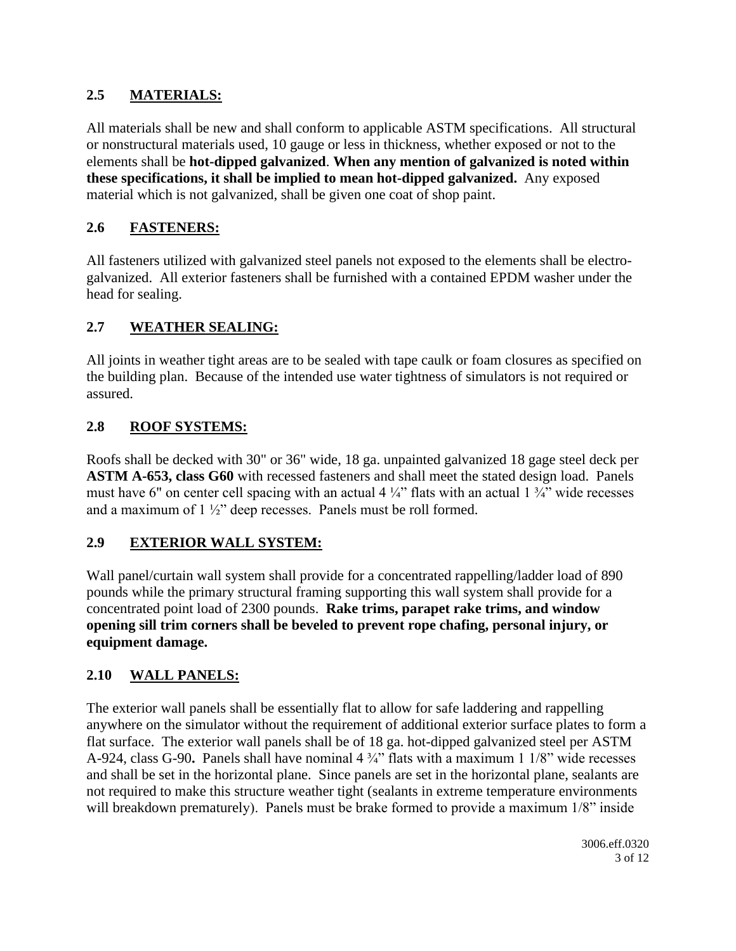## **2.5 MATERIALS:**

All materials shall be new and shall conform to applicable ASTM specifications. All structural or nonstructural materials used, 10 gauge or less in thickness, whether exposed or not to the elements shall be **hot-dipped galvanized**. **When any mention of galvanized is noted within these specifications, it shall be implied to mean hot-dipped galvanized.** Any exposed material which is not galvanized, shall be given one coat of shop paint.

## **2.6 FASTENERS:**

All fasteners utilized with galvanized steel panels not exposed to the elements shall be electrogalvanized. All exterior fasteners shall be furnished with a contained EPDM washer under the head for sealing.

## **2.7 WEATHER SEALING:**

All joints in weather tight areas are to be sealed with tape caulk or foam closures as specified on the building plan. Because of the intended use water tightness of simulators is not required or assured.

## **2.8 ROOF SYSTEMS:**

Roofs shall be decked with 30" or 36" wide, 18 ga. unpainted galvanized 18 gage steel deck per **ASTM A-653, class G60** with recessed fasteners and shall meet the stated design load. Panels must have 6" on center cell spacing with an actual 4  $\frac{1}{4}$ " flats with an actual 1  $\frac{3}{4}$ " wide recesses and a maximum of 1 ½" deep recesses. Panels must be roll formed.

## **2.9 EXTERIOR WALL SYSTEM:**

Wall panel/curtain wall system shall provide for a concentrated rappelling/ladder load of 890 pounds while the primary structural framing supporting this wall system shall provide for a concentrated point load of 2300 pounds. **Rake trims, parapet rake trims, and window opening sill trim corners shall be beveled to prevent rope chafing, personal injury, or equipment damage.**

## **2.10 WALL PANELS:**

The exterior wall panels shall be essentially flat to allow for safe laddering and rappelling anywhere on the simulator without the requirement of additional exterior surface plates to form a flat surface. The exterior wall panels shall be of 18 ga. hot-dipped galvanized steel per ASTM A-924, class G-90**.** Panels shall have nominal 4 ¾" flats with a maximum 1 1/8" wide recesses and shall be set in the horizontal plane. Since panels are set in the horizontal plane, sealants are not required to make this structure weather tight (sealants in extreme temperature environments will breakdown prematurely). Panels must be brake formed to provide a maximum  $1/8$ " inside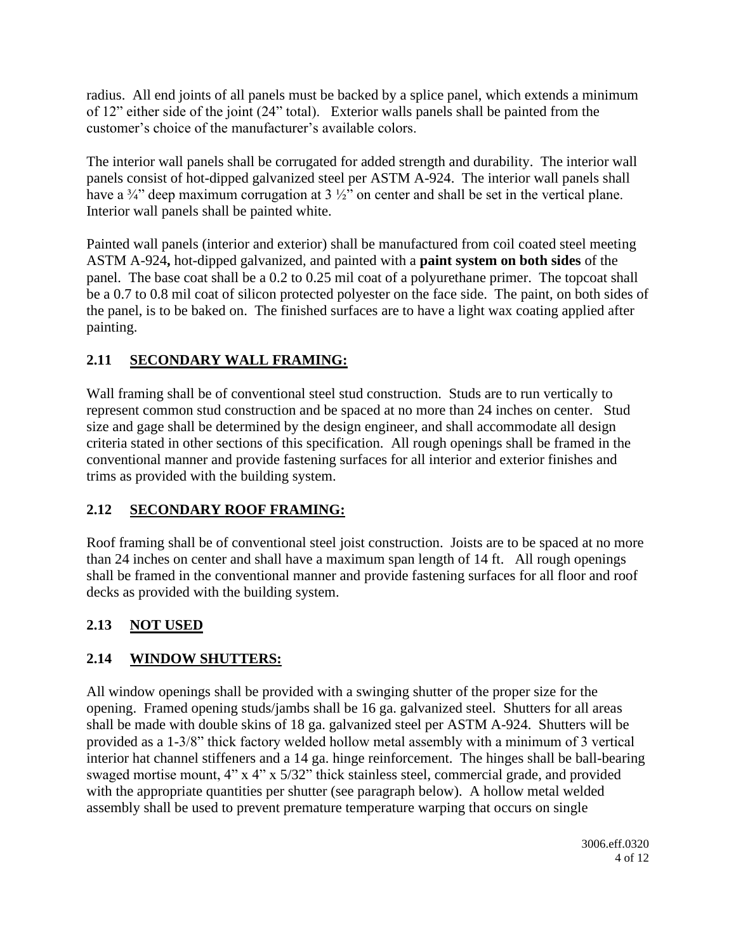radius. All end joints of all panels must be backed by a splice panel, which extends a minimum of 12" either side of the joint (24" total). Exterior walls panels shall be painted from the customer's choice of the manufacturer's available colors.

The interior wall panels shall be corrugated for added strength and durability. The interior wall panels consist of hot-dipped galvanized steel per ASTM A-924. The interior wall panels shall have a  $\frac{3}{4}$  deep maximum corrugation at 3  $\frac{1}{2}$  on center and shall be set in the vertical plane. Interior wall panels shall be painted white.

Painted wall panels (interior and exterior) shall be manufactured from coil coated steel meeting ASTM A-924**,** hot-dipped galvanized, and painted with a **paint system on both sides** of the panel. The base coat shall be a 0.2 to 0.25 mil coat of a polyurethane primer. The topcoat shall be a 0.7 to 0.8 mil coat of silicon protected polyester on the face side. The paint, on both sides of the panel, is to be baked on. The finished surfaces are to have a light wax coating applied after painting.

# **2.11 SECONDARY WALL FRAMING:**

Wall framing shall be of conventional steel stud construction. Studs are to run vertically to represent common stud construction and be spaced at no more than 24 inches on center. Stud size and gage shall be determined by the design engineer, and shall accommodate all design criteria stated in other sections of this specification. All rough openings shall be framed in the conventional manner and provide fastening surfaces for all interior and exterior finishes and trims as provided with the building system.

# **2.12 SECONDARY ROOF FRAMING:**

Roof framing shall be of conventional steel joist construction. Joists are to be spaced at no more than 24 inches on center and shall have a maximum span length of 14 ft. All rough openings shall be framed in the conventional manner and provide fastening surfaces for all floor and roof decks as provided with the building system.

# **2.13 NOT USED**

# **2.14 WINDOW SHUTTERS:**

All window openings shall be provided with a swinging shutter of the proper size for the opening. Framed opening studs/jambs shall be 16 ga. galvanized steel. Shutters for all areas shall be made with double skins of 18 ga. galvanized steel per ASTM A-924. Shutters will be provided as a 1-3/8" thick factory welded hollow metal assembly with a minimum of 3 vertical interior hat channel stiffeners and a 14 ga. hinge reinforcement. The hinges shall be ball-bearing swaged mortise mount, 4" x 4" x 5/32" thick stainless steel, commercial grade, and provided with the appropriate quantities per shutter (see paragraph below). A hollow metal welded assembly shall be used to prevent premature temperature warping that occurs on single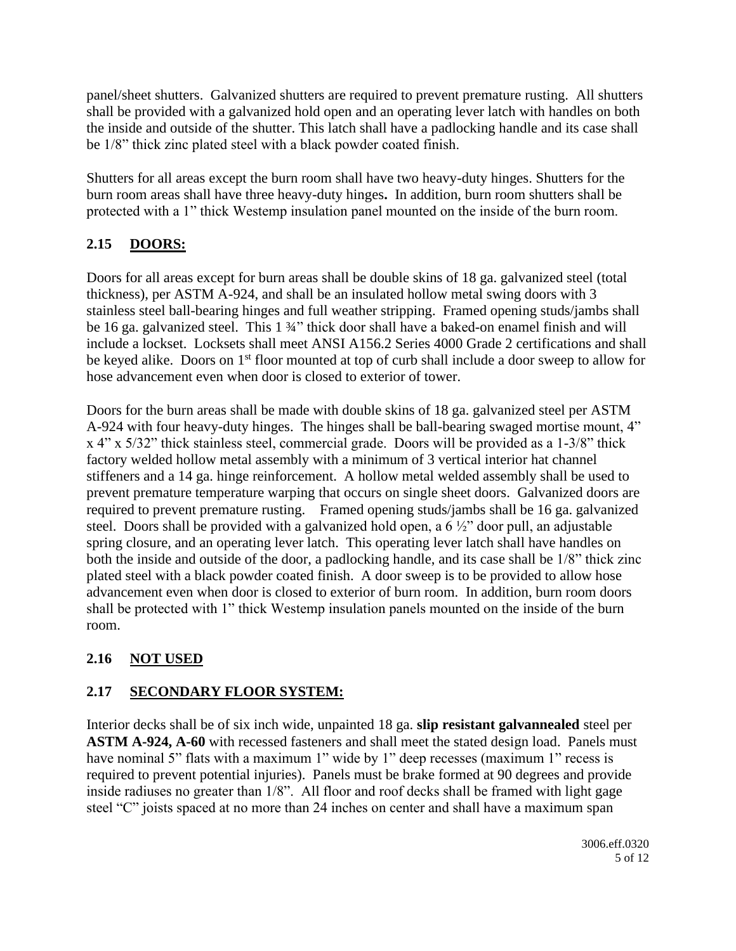panel/sheet shutters. Galvanized shutters are required to prevent premature rusting. All shutters shall be provided with a galvanized hold open and an operating lever latch with handles on both the inside and outside of the shutter. This latch shall have a padlocking handle and its case shall be 1/8" thick zinc plated steel with a black powder coated finish.

Shutters for all areas except the burn room shall have two heavy-duty hinges. Shutters for the burn room areas shall have three heavy-duty hinges**.** In addition, burn room shutters shall be protected with a 1" thick Westemp insulation panel mounted on the inside of the burn room.

# **2.15 DOORS:**

Doors for all areas except for burn areas shall be double skins of 18 ga. galvanized steel (total thickness), per ASTM A-924, and shall be an insulated hollow metal swing doors with 3 stainless steel ball-bearing hinges and full weather stripping. Framed opening studs/jambs shall be 16 ga. galvanized steel. This 1 3/4" thick door shall have a baked-on enamel finish and will include a lockset. Locksets shall meet ANSI A156.2 Series 4000 Grade 2 certifications and shall be keyed alike. Doors on 1<sup>st</sup> floor mounted at top of curb shall include a door sweep to allow for hose advancement even when door is closed to exterior of tower.

Doors for the burn areas shall be made with double skins of 18 ga. galvanized steel per ASTM A-924 with four heavy-duty hinges. The hinges shall be ball-bearing swaged mortise mount, 4" x 4" x 5/32" thick stainless steel, commercial grade. Doors will be provided as a 1-3/8" thick factory welded hollow metal assembly with a minimum of 3 vertical interior hat channel stiffeners and a 14 ga. hinge reinforcement. A hollow metal welded assembly shall be used to prevent premature temperature warping that occurs on single sheet doors. Galvanized doors are required to prevent premature rusting. Framed opening studs/jambs shall be 16 ga. galvanized steel. Doors shall be provided with a galvanized hold open, a 6 ½" door pull, an adjustable spring closure, and an operating lever latch. This operating lever latch shall have handles on both the inside and outside of the door, a padlocking handle, and its case shall be 1/8" thick zinc plated steel with a black powder coated finish. A door sweep is to be provided to allow hose advancement even when door is closed to exterior of burn room. In addition, burn room doors shall be protected with 1" thick Westemp insulation panels mounted on the inside of the burn room.

# **2.16 NOT USED**

# **2.17 SECONDARY FLOOR SYSTEM:**

Interior decks shall be of six inch wide, unpainted 18 ga. **slip resistant galvannealed** steel per **ASTM A-924, A-60** with recessed fasteners and shall meet the stated design load. Panels must have nominal 5" flats with a maximum 1" wide by 1" deep recesses (maximum 1" recess is required to prevent potential injuries). Panels must be brake formed at 90 degrees and provide inside radiuses no greater than 1/8". All floor and roof decks shall be framed with light gage steel "C" joists spaced at no more than 24 inches on center and shall have a maximum span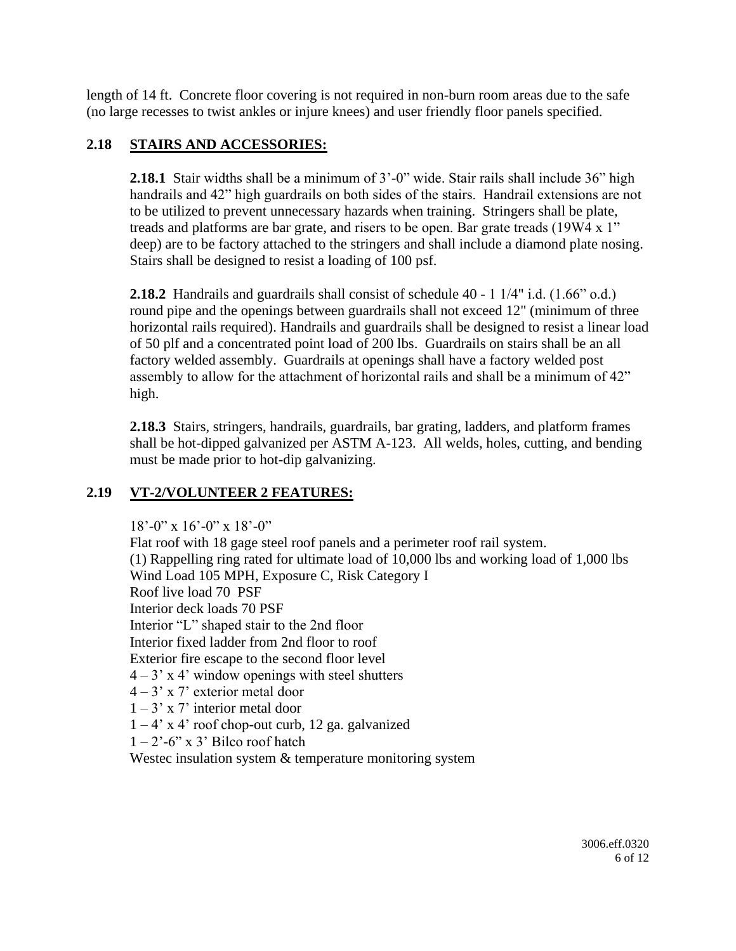length of 14 ft. Concrete floor covering is not required in non-burn room areas due to the safe (no large recesses to twist ankles or injure knees) and user friendly floor panels specified.

#### **2.18 STAIRS AND ACCESSORIES:**

**2.18.1** Stair widths shall be a minimum of 3'-0" wide. Stair rails shall include 36" high handrails and 42" high guardrails on both sides of the stairs. Handrail extensions are not to be utilized to prevent unnecessary hazards when training. Stringers shall be plate, treads and platforms are bar grate, and risers to be open. Bar grate treads (19W4 x 1" deep) are to be factory attached to the stringers and shall include a diamond plate nosing. Stairs shall be designed to resist a loading of 100 psf.

**2.18.2** Handrails and guardrails shall consist of schedule 40 - 1 1/4" i.d. (1.66" o.d.) round pipe and the openings between guardrails shall not exceed 12" (minimum of three horizontal rails required). Handrails and guardrails shall be designed to resist a linear load of 50 plf and a concentrated point load of 200 lbs. Guardrails on stairs shall be an all factory welded assembly. Guardrails at openings shall have a factory welded post assembly to allow for the attachment of horizontal rails and shall be a minimum of 42" high.

**2.18.3** Stairs, stringers, handrails, guardrails, bar grating, ladders, and platform frames shall be hot-dipped galvanized per ASTM A-123. All welds, holes, cutting, and bending must be made prior to hot-dip galvanizing.

## **2.19 VT-2/VOLUNTEER 2 FEATURES:**

 $18^{\circ}$ -0" x  $16^{\circ}$ -0" x  $18^{\circ}$ -0"

Flat roof with 18 gage steel roof panels and a perimeter roof rail system. (1) Rappelling ring rated for ultimate load of 10,000 lbs and working load of 1,000 lbs Wind Load 105 MPH, Exposure C, Risk Category I Roof live load 70 PSF Interior deck loads 70 PSF Interior "L" shaped stair to the 2nd floor Interior fixed ladder from 2nd floor to roof Exterior fire escape to the second floor level  $4 - 3'$  x 4' window openings with steel shutters 4 – 3' x 7' exterior metal door  $1 - 3'$  x 7' interior metal door  $1 - 4$ ' x 4' roof chop-out curb, 12 ga. galvanized  $1 - 2$ '-6" x 3' Bilco roof hatch Westec insulation system & temperature monitoring system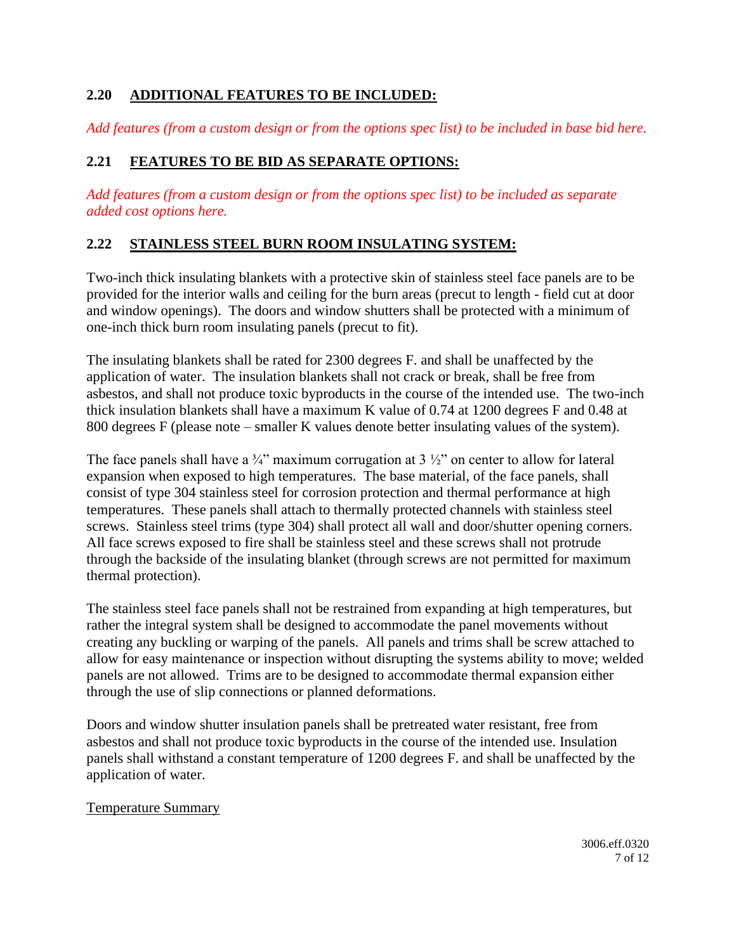## **2.20 ADDITIONAL FEATURES TO BE INCLUDED:**

*Add features (from a custom design or from the options spec list) to be included in base bid here.*

# **2.21 FEATURES TO BE BID AS SEPARATE OPTIONS:**

*Add features (from a custom design or from the options spec list) to be included as separate added cost options here.*

## **2.22 STAINLESS STEEL BURN ROOM INSULATING SYSTEM:**

Two-inch thick insulating blankets with a protective skin of stainless steel face panels are to be provided for the interior walls and ceiling for the burn areas (precut to length - field cut at door and window openings). The doors and window shutters shall be protected with a minimum of one-inch thick burn room insulating panels (precut to fit).

The insulating blankets shall be rated for 2300 degrees F. and shall be unaffected by the application of water. The insulation blankets shall not crack or break, shall be free from asbestos, and shall not produce toxic byproducts in the course of the intended use. The two-inch thick insulation blankets shall have a maximum K value of 0.74 at 1200 degrees F and 0.48 at 800 degrees F (please note – smaller K values denote better insulating values of the system).

The face panels shall have a  $\frac{3}{4}$ " maximum corrugation at 3  $\frac{1}{2}$ " on center to allow for lateral expansion when exposed to high temperatures. The base material, of the face panels, shall consist of type 304 stainless steel for corrosion protection and thermal performance at high temperatures. These panels shall attach to thermally protected channels with stainless steel screws. Stainless steel trims (type 304) shall protect all wall and door/shutter opening corners. All face screws exposed to fire shall be stainless steel and these screws shall not protrude through the backside of the insulating blanket (through screws are not permitted for maximum thermal protection).

The stainless steel face panels shall not be restrained from expanding at high temperatures, but rather the integral system shall be designed to accommodate the panel movements without creating any buckling or warping of the panels. All panels and trims shall be screw attached to allow for easy maintenance or inspection without disrupting the systems ability to move; welded panels are not allowed. Trims are to be designed to accommodate thermal expansion either through the use of slip connections or planned deformations.

Doors and window shutter insulation panels shall be pretreated water resistant, free from asbestos and shall not produce toxic byproducts in the course of the intended use. Insulation panels shall withstand a constant temperature of 1200 degrees F. and shall be unaffected by the application of water.

#### Temperature Summary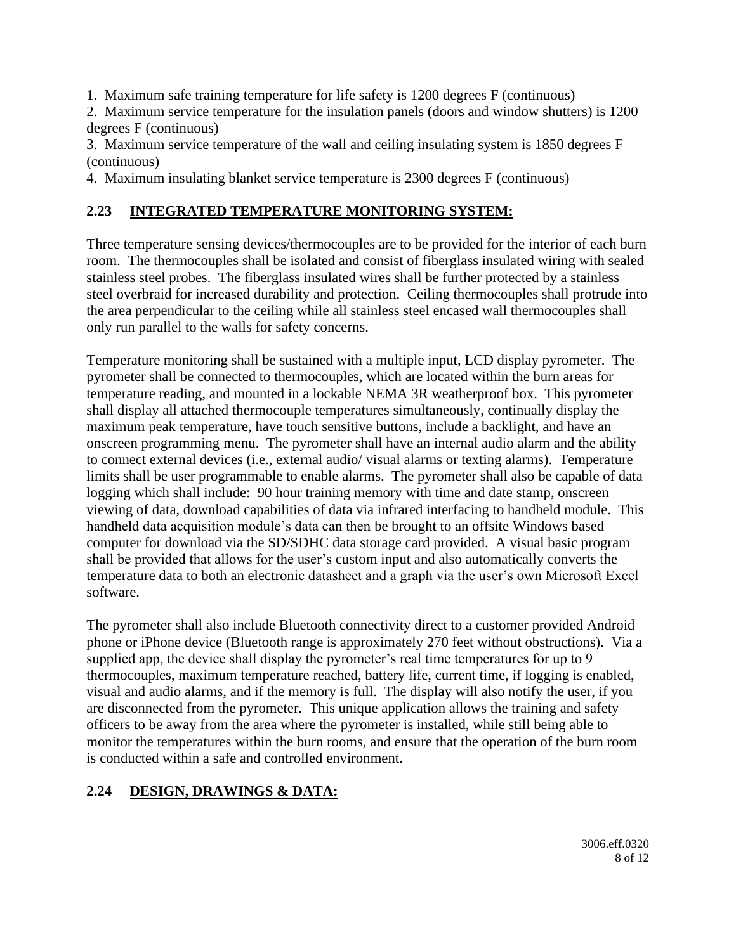1. Maximum safe training temperature for life safety is 1200 degrees F (continuous)

2. Maximum service temperature for the insulation panels (doors and window shutters) is 1200 degrees F (continuous)

3. Maximum service temperature of the wall and ceiling insulating system is 1850 degrees F (continuous)

4. Maximum insulating blanket service temperature is 2300 degrees F (continuous)

# **2.23 INTEGRATED TEMPERATURE MONITORING SYSTEM:**

Three temperature sensing devices/thermocouples are to be provided for the interior of each burn room. The thermocouples shall be isolated and consist of fiberglass insulated wiring with sealed stainless steel probes. The fiberglass insulated wires shall be further protected by a stainless steel overbraid for increased durability and protection. Ceiling thermocouples shall protrude into the area perpendicular to the ceiling while all stainless steel encased wall thermocouples shall only run parallel to the walls for safety concerns.

Temperature monitoring shall be sustained with a multiple input, LCD display pyrometer. The pyrometer shall be connected to thermocouples, which are located within the burn areas for temperature reading, and mounted in a lockable NEMA 3R weatherproof box. This pyrometer shall display all attached thermocouple temperatures simultaneously, continually display the maximum peak temperature, have touch sensitive buttons, include a backlight, and have an onscreen programming menu. The pyrometer shall have an internal audio alarm and the ability to connect external devices (i.e., external audio/ visual alarms or texting alarms). Temperature limits shall be user programmable to enable alarms. The pyrometer shall also be capable of data logging which shall include: 90 hour training memory with time and date stamp, onscreen viewing of data, download capabilities of data via infrared interfacing to handheld module. This handheld data acquisition module's data can then be brought to an offsite Windows based computer for download via the SD/SDHC data storage card provided. A visual basic program shall be provided that allows for the user's custom input and also automatically converts the temperature data to both an electronic datasheet and a graph via the user's own Microsoft Excel software.

The pyrometer shall also include Bluetooth connectivity direct to a customer provided Android phone or iPhone device (Bluetooth range is approximately 270 feet without obstructions). Via a supplied app, the device shall display the pyrometer's real time temperatures for up to 9 thermocouples, maximum temperature reached, battery life, current time, if logging is enabled, visual and audio alarms, and if the memory is full. The display will also notify the user, if you are disconnected from the pyrometer. This unique application allows the training and safety officers to be away from the area where the pyrometer is installed, while still being able to monitor the temperatures within the burn rooms, and ensure that the operation of the burn room is conducted within a safe and controlled environment.

# **2.24 DESIGN, DRAWINGS & DATA:**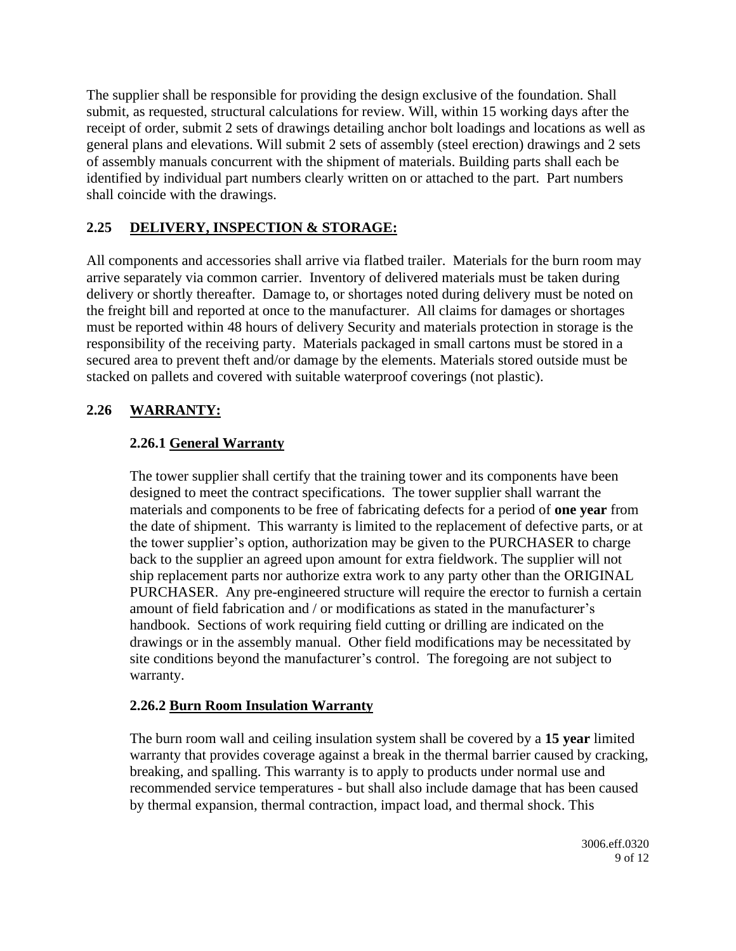The supplier shall be responsible for providing the design exclusive of the foundation. Shall submit, as requested, structural calculations for review. Will, within 15 working days after the receipt of order, submit 2 sets of drawings detailing anchor bolt loadings and locations as well as general plans and elevations. Will submit 2 sets of assembly (steel erection) drawings and 2 sets of assembly manuals concurrent with the shipment of materials. Building parts shall each be identified by individual part numbers clearly written on or attached to the part. Part numbers shall coincide with the drawings.

### **2.25 DELIVERY, INSPECTION & STORAGE:**

All components and accessories shall arrive via flatbed trailer. Materials for the burn room may arrive separately via common carrier. Inventory of delivered materials must be taken during delivery or shortly thereafter. Damage to, or shortages noted during delivery must be noted on the freight bill and reported at once to the manufacturer. All claims for damages or shortages must be reported within 48 hours of delivery Security and materials protection in storage is the responsibility of the receiving party. Materials packaged in small cartons must be stored in a secured area to prevent theft and/or damage by the elements. Materials stored outside must be stacked on pallets and covered with suitable waterproof coverings (not plastic).

#### **2.26 WARRANTY:**

#### **2.26.1 General Warranty**

The tower supplier shall certify that the training tower and its components have been designed to meet the contract specifications. The tower supplier shall warrant the materials and components to be free of fabricating defects for a period of **one year** from the date of shipment. This warranty is limited to the replacement of defective parts, or at the tower supplier's option, authorization may be given to the PURCHASER to charge back to the supplier an agreed upon amount for extra fieldwork. The supplier will not ship replacement parts nor authorize extra work to any party other than the ORIGINAL PURCHASER. Any pre-engineered structure will require the erector to furnish a certain amount of field fabrication and / or modifications as stated in the manufacturer's handbook. Sections of work requiring field cutting or drilling are indicated on the drawings or in the assembly manual. Other field modifications may be necessitated by site conditions beyond the manufacturer's control. The foregoing are not subject to warranty.

#### **2.26.2 Burn Room Insulation Warranty**

The burn room wall and ceiling insulation system shall be covered by a **15 year** limited warranty that provides coverage against a break in the thermal barrier caused by cracking, breaking, and spalling. This warranty is to apply to products under normal use and recommended service temperatures - but shall also include damage that has been caused by thermal expansion, thermal contraction, impact load, and thermal shock. This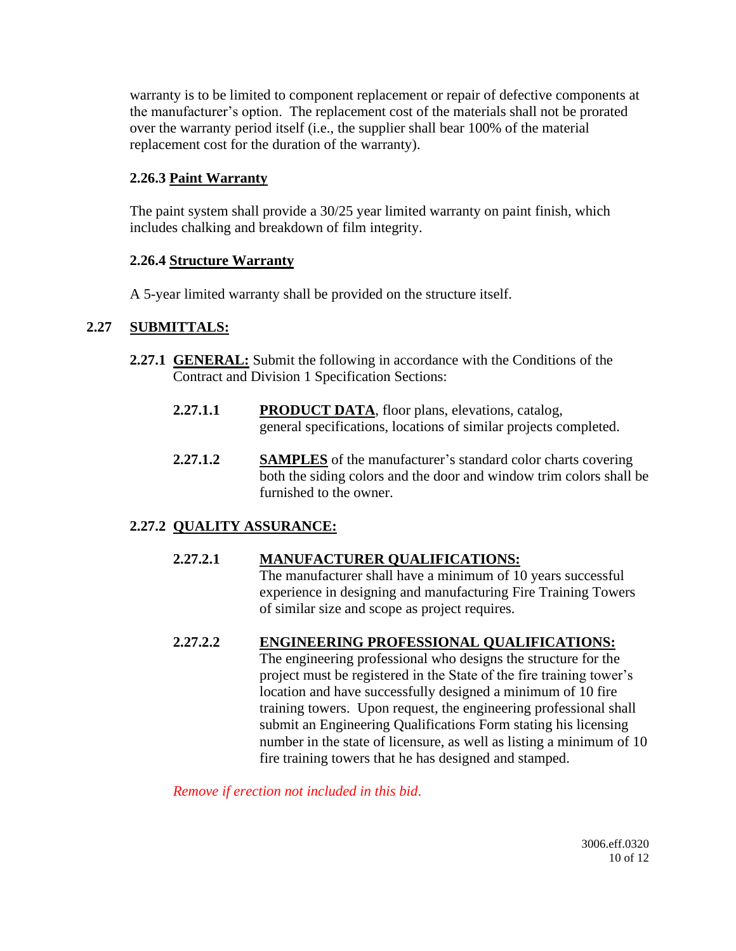warranty is to be limited to component replacement or repair of defective components at the manufacturer's option. The replacement cost of the materials shall not be prorated over the warranty period itself (i.e., the supplier shall bear 100% of the material replacement cost for the duration of the warranty).

#### **2.26.3 Paint Warranty**

The paint system shall provide a 30/25 year limited warranty on paint finish, which includes chalking and breakdown of film integrity.

#### **2.26.4 Structure Warranty**

A 5-year limited warranty shall be provided on the structure itself.

#### **2.27 SUBMITTALS:**

- **2.27.1 GENERAL:** Submit the following in accordance with the Conditions of the Contract and Division 1 Specification Sections:
	- **2.27.1.1 PRODUCT DATA**, floor plans, elevations, catalog, general specifications, locations of similar projects completed.
	- **2.27.1.2 SAMPLES** of the manufacturer's standard color charts covering both the siding colors and the door and window trim colors shall be furnished to the owner.

## **2.27.2 QUALITY ASSURANCE:**

## **2.27.2.1 MANUFACTURER QUALIFICATIONS:**

The manufacturer shall have a minimum of 10 years successful experience in designing and manufacturing Fire Training Towers of similar size and scope as project requires.

#### **2.27.2.2 ENGINEERING PROFESSIONAL QUALIFICATIONS:**

The engineering professional who designs the structure for the project must be registered in the State of the fire training tower's location and have successfully designed a minimum of 10 fire training towers. Upon request, the engineering professional shall submit an Engineering Qualifications Form stating his licensing number in the state of licensure, as well as listing a minimum of 10 fire training towers that he has designed and stamped.

*Remove if erection not included in this bid*.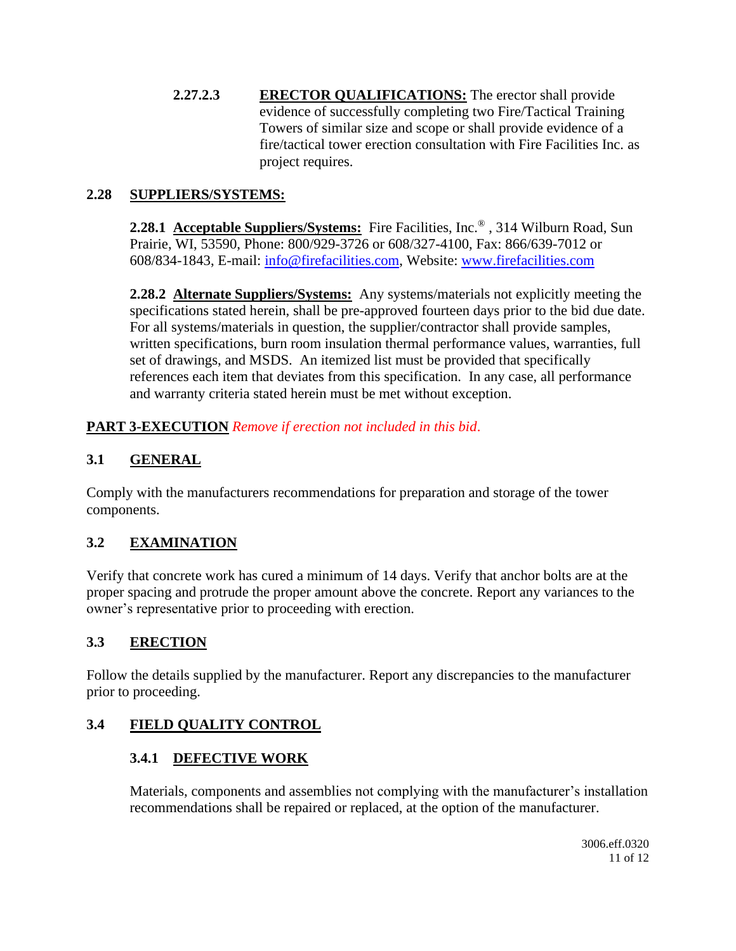**2.27.2.3 ERECTOR QUALIFICATIONS:** The erector shall provide evidence of successfully completing two Fire/Tactical Training Towers of similar size and scope or shall provide evidence of a fire/tactical tower erection consultation with Fire Facilities Inc. as project requires.

#### **2.28 SUPPLIERS/SYSTEMS:**

**2.28.1 Acceptable Suppliers/Systems:** Fire Facilities, Inc.® , 314 Wilburn Road, Sun Prairie, WI, 53590, Phone: 800/929-3726 or 608/327-4100, Fax: 866/639-7012 or 608/834-1843, E-mail: [info@firefacilities.com,](mailto:info@firefacilities.com) Website: [www.firefacilities.com](http://www.firefacilities.com/)

**2.28.2 Alternate Suppliers/Systems:** Any systems/materials not explicitly meeting the specifications stated herein, shall be pre-approved fourteen days prior to the bid due date. For all systems/materials in question, the supplier/contractor shall provide samples, written specifications, burn room insulation thermal performance values, warranties, full set of drawings, and MSDS. An itemized list must be provided that specifically references each item that deviates from this specification. In any case, all performance and warranty criteria stated herein must be met without exception.

**PART 3-EXECUTION** *Remove if erection not included in this bid*.

## **3.1 GENERAL**

Comply with the manufacturers recommendations for preparation and storage of the tower components.

# **3.2 EXAMINATION**

Verify that concrete work has cured a minimum of 14 days. Verify that anchor bolts are at the proper spacing and protrude the proper amount above the concrete. Report any variances to the owner's representative prior to proceeding with erection.

## **3.3 ERECTION**

Follow the details supplied by the manufacturer. Report any discrepancies to the manufacturer prior to proceeding.

## **3.4 FIELD QUALITY CONTROL**

## **3.4.1 DEFECTIVE WORK**

Materials, components and assemblies not complying with the manufacturer's installation recommendations shall be repaired or replaced, at the option of the manufacturer.